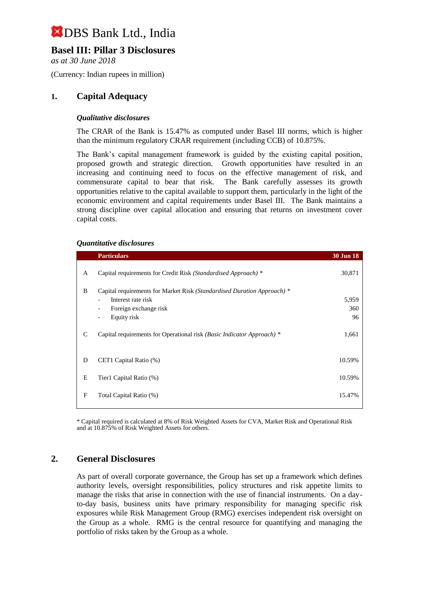## **Basel III: Pillar 3 Disclosures**

*as at 30 June 2018*

(Currency: Indian rupees in million)

## **1. Capital Adequacy**

#### *Qualitative disclosures*

The CRAR of the Bank is 15.47% as computed under Basel III norms, which is higher than the minimum regulatory CRAR requirement (including CCB) of 10.875%.

The Bank's capital management framework is guided by the existing capital position, proposed growth and strategic direction. Growth opportunities have resulted in an increasing and continuing need to focus on the effective management of risk, and commensurate capital to bear that risk. The Bank carefully assesses its growth opportunities relative to the capital available to support them, particularly in the light of the economic environment and capital requirements under Basel III. The Bank maintains a strong discipline over capital allocation and ensuring that returns on investment cover capital costs.

#### *Quantitative disclosures*

|               | <b>Particulars</b>                                                      | <b>30 Jun 18</b> |
|---------------|-------------------------------------------------------------------------|------------------|
| A             | Capital requirements for Credit Risk (Standardised Approach) *          | 30,871           |
| B             | Capital requirements for Market Risk (Standardised Duration Approach) * |                  |
|               | Interest rate risk                                                      | 5,959            |
|               | Foreign exchange risk<br>$\overline{\phantom{a}}$                       | 360              |
|               | Equity risk<br>$\overline{\phantom{a}}$                                 | 96               |
| $\mathcal{C}$ | Capital requirements for Operational risk (Basic Indicator Approach) *  | 1,661            |
| D             | CET1 Capital Ratio (%)                                                  | 10.59%           |
| E             | Tier1 Capital Ratio (%)                                                 | 10.59%           |
| F             | Total Capital Ratio (%)                                                 | 15.47%           |
|               |                                                                         |                  |

\* Capital required is calculated at 8% of Risk Weighted Assets for CVA, Market Risk and Operational Risk and at 10.875% of Risk Weighted Assets for others.

## **2. General Disclosures**

As part of overall corporate governance, the Group has set up a framework which defines authority levels, oversight responsibilities, policy structures and risk appetite limits to manage the risks that arise in connection with the use of financial instruments. On a dayto-day basis, business units have primary responsibility for managing specific risk exposures while Risk Management Group (RMG) exercises independent risk oversight on the Group as a whole. RMG is the central resource for quantifying and managing the portfolio of risks taken by the Group as a whole.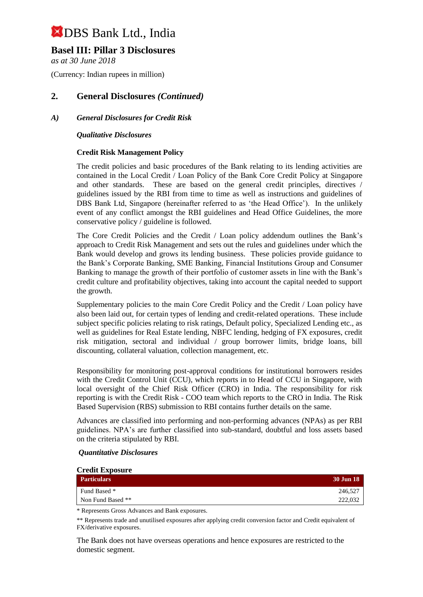## **Basel III: Pillar 3 Disclosures**

*as at 30 June 2018*

(Currency: Indian rupees in million)

## **2. General Disclosures** *(Continued)*

#### *A) General Disclosures for Credit Risk*

#### *Qualitative Disclosures*

#### **Credit Risk Management Policy**

The credit policies and basic procedures of the Bank relating to its lending activities are contained in the Local Credit / Loan Policy of the Bank Core Credit Policy at Singapore and other standards. These are based on the general credit principles, directives / guidelines issued by the RBI from time to time as well as instructions and guidelines of DBS Bank Ltd, Singapore (hereinafter referred to as 'the Head Office'). In the unlikely event of any conflict amongst the RBI guidelines and Head Office Guidelines, the more conservative policy / guideline is followed.

The Core Credit Policies and the Credit / Loan policy addendum outlines the Bank's approach to Credit Risk Management and sets out the rules and guidelines under which the Bank would develop and grows its lending business. These policies provide guidance to the Bank's Corporate Banking, SME Banking, Financial Institutions Group and Consumer Banking to manage the growth of their portfolio of customer assets in line with the Bank's credit culture and profitability objectives, taking into account the capital needed to support the growth.

Supplementary policies to the main Core Credit Policy and the Credit / Loan policy have also been laid out, for certain types of lending and credit-related operations. These include subject specific policies relating to risk ratings, Default policy, Specialized Lending etc., as well as guidelines for Real Estate lending, NBFC lending, hedging of FX exposures, credit risk mitigation, sectoral and individual / group borrower limits, bridge loans, bill discounting, collateral valuation, collection management, etc.

Responsibility for monitoring post-approval conditions for institutional borrowers resides with the Credit Control Unit (CCU), which reports in to Head of CCU in Singapore, with local oversight of the Chief Risk Officer (CRO) in India. The responsibility for risk reporting is with the Credit Risk - COO team which reports to the CRO in India. The Risk Based Supervision (RBS) submission to RBI contains further details on the same.

Advances are classified into performing and non-performing advances (NPAs) as per RBI guidelines. NPA's are further classified into sub-standard, doubtful and loss assets based on the criteria stipulated by RBI.

## *Quantitative Disclosures*

| <b>Credit Exposure</b> |                  |  |  |
|------------------------|------------------|--|--|
| <b>Particulars</b>     | <b>30 Jun 18</b> |  |  |
| Fund Based *           | 246,527          |  |  |
| Non Fund Based **      | 222,032          |  |  |

\* Represents Gross Advances and Bank exposures.

\*\* Represents trade and unutilised exposures after applying credit conversion factor and Credit equivalent of FX/derivative exposures.

The Bank does not have overseas operations and hence exposures are restricted to the domestic segment.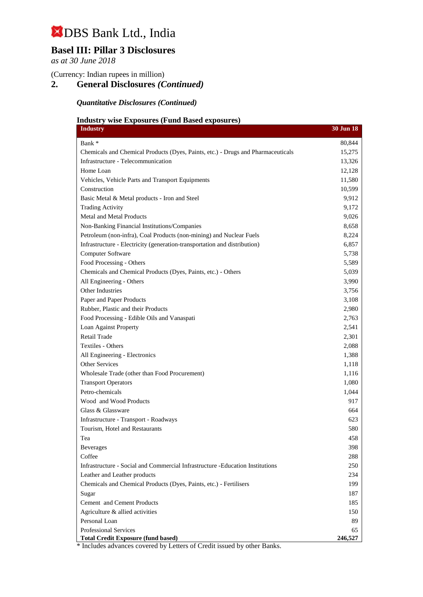## **Basel III: Pillar 3 Disclosures**

*as at 30 June 2018*

(Currency: Indian rupees in million)

## **2. General Disclosures** *(Continued)*

### *Quantitative Disclosures (Continued)*

#### **Industry wise Exposures (Fund Based exposures)**

| <b>Industry</b>                                                                  | 30 Jun 18 |
|----------------------------------------------------------------------------------|-----------|
| Bank *                                                                           | 80,844    |
| Chemicals and Chemical Products (Dyes, Paints, etc.) - Drugs and Pharmaceuticals | 15,275    |
| Infrastructure - Telecommunication                                               | 13,326    |
| Home Loan                                                                        | 12,128    |
| Vehicles, Vehicle Parts and Transport Equipments                                 | 11,580    |
| Construction                                                                     | 10,599    |
| Basic Metal & Metal products - Iron and Steel                                    | 9,912     |
| <b>Trading Activity</b>                                                          | 9,172     |
| <b>Metal and Metal Products</b>                                                  | 9,026     |
| Non-Banking Financial Institutions/Companies                                     | 8,658     |
| Petroleum (non-infra), Coal Products (non-mining) and Nuclear Fuels              | 8,224     |
| Infrastructure - Electricity (generation-transportation and distribution)        | 6,857     |
| Computer Software                                                                | 5,738     |
| Food Processing - Others                                                         | 5,589     |
| Chemicals and Chemical Products (Dyes, Paints, etc.) - Others                    | 5,039     |
| All Engineering - Others                                                         | 3,990     |
| Other Industries                                                                 | 3,756     |
| Paper and Paper Products                                                         | 3,108     |
| Rubber, Plastic and their Products                                               | 2,980     |
| Food Processing - Edible Oils and Vanaspati                                      | 2,763     |
| Loan Against Property                                                            | 2,541     |
| <b>Retail Trade</b>                                                              | 2,301     |
| Textiles - Others                                                                | 2,088     |
| All Engineering - Electronics                                                    | 1,388     |
| <b>Other Services</b>                                                            | 1,118     |
| Wholesale Trade (other than Food Procurement)                                    | 1,116     |
| <b>Transport Operators</b>                                                       | 1,080     |
| Petro-chemicals                                                                  | 1,044     |
| Wood and Wood Products                                                           | 917       |
| Glass & Glassware                                                                | 664       |
| Infrastructure - Transport - Roadways                                            | 623       |
| Tourism, Hotel and Restaurants                                                   | 580       |
| Tea                                                                              | 458       |
| <b>Beverages</b>                                                                 | 398       |
| Coffee                                                                           | 288       |
| Infrastructure - Social and Commercial Infrastructure -Education Institutions    | 250       |
| Leather and Leather products                                                     | 234       |
| Chemicals and Chemical Products (Dyes, Paints, etc.) - Fertilisers               | 199       |
| Sugar                                                                            | 187       |
| <b>Cement</b> and Cement Products                                                | 185       |
| Agriculture & allied activities                                                  | 150       |
| Personal Loan                                                                    | 89        |
| <b>Professional Services</b>                                                     | 65        |
| <b>Total Credit Exposure (fund based)</b>                                        | 246,527   |

\* Includes advances covered by Letters of Credit issued by other Banks.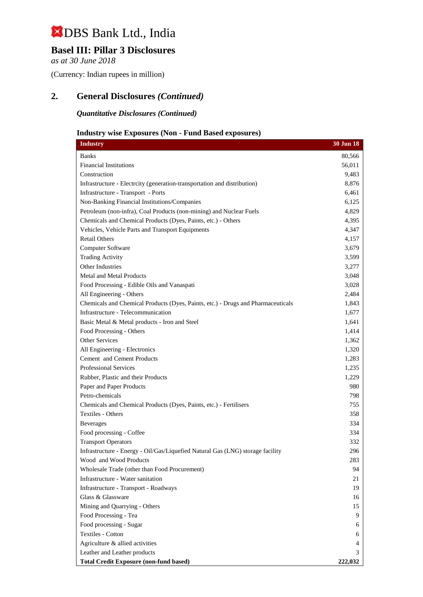## **Basel III: Pillar 3 Disclosures**

*as at 30 June 2018*

(Currency: Indian rupees in million)

## **2. General Disclosures** *(Continued)*

*Quantitative Disclosures (Continued)*

## **Industry wise Exposures (Non - Fund Based exposures)**

| <b>Industry</b>                                                                  | 30 Jun 18 |
|----------------------------------------------------------------------------------|-----------|
| <b>Banks</b>                                                                     | 80,566    |
| <b>Financial Institutions</b>                                                    | 56,011    |
| Construction                                                                     | 9,483     |
| Infrastructure - Electrcity (generation-transportation and distribution)         | 8,876     |
| Infrastructure - Transport - Ports                                               | 6,461     |
| Non-Banking Financial Institutions/Companies                                     | 6,125     |
| Petroleum (non-infra), Coal Products (non-mining) and Nuclear Fuels              | 4,829     |
| Chemicals and Chemical Products (Dyes, Paints, etc.) - Others                    | 4,395     |
| Vehicles, Vehicle Parts and Transport Equipments                                 | 4,347     |
| <b>Retail Others</b>                                                             | 4,157     |
| Computer Software                                                                | 3,679     |
| <b>Trading Activity</b>                                                          | 3,599     |
| <b>Other Industries</b>                                                          | 3,277     |
| <b>Metal and Metal Products</b>                                                  | 3,048     |
| Food Processing - Edible Oils and Vanaspati                                      | 3,028     |
| All Engineering - Others                                                         | 2,484     |
| Chemicals and Chemical Products (Dyes, Paints, etc.) - Drugs and Pharmaceuticals | 1,843     |
| Infrastructure - Telecommunication                                               | 1,677     |
| Basic Metal & Metal products - Iron and Steel                                    | 1,641     |
| Food Processing - Others                                                         | 1,414     |
| <b>Other Services</b>                                                            | 1,362     |
| All Engineering - Electronics                                                    | 1,320     |
| Cement and Cement Products                                                       | 1,283     |
| Professional Services                                                            | 1,235     |
| Rubber, Plastic and their Products                                               | 1,229     |
| Paper and Paper Products                                                         | 980       |
| Petro-chemicals                                                                  | 798       |
| Chemicals and Chemical Products (Dyes, Paints, etc.) - Fertilisers               | 755       |
| Textiles - Others                                                                | 358       |
| <b>Beverages</b>                                                                 | 334       |
| Food processing - Coffee                                                         | 334       |
| <b>Transport Operators</b>                                                       | 332       |
| Infrastructure - Energy - Oil/Gas/Liquefied Natural Gas (LNG) storage facility   | 296       |
| Wood and Wood Products                                                           | 283       |
| Wholesale Trade (other than Food Procurement)                                    | 94        |
| Infrastructure - Water sanitation                                                | 21        |
| Infrastructure - Transport - Roadways                                            | 19        |
| Glass & Glassware                                                                | 16        |
| Mining and Quarrying - Others                                                    | 15        |
| Food Processing - Tea                                                            | 9         |
| Food processing - Sugar                                                          | 6         |
| Textiles - Cotton                                                                | 6         |
| Agriculture & allied activities                                                  | 4         |
| Leather and Leather products                                                     | 3         |
| <b>Total Credit Exposure (non-fund based)</b>                                    | 222,032   |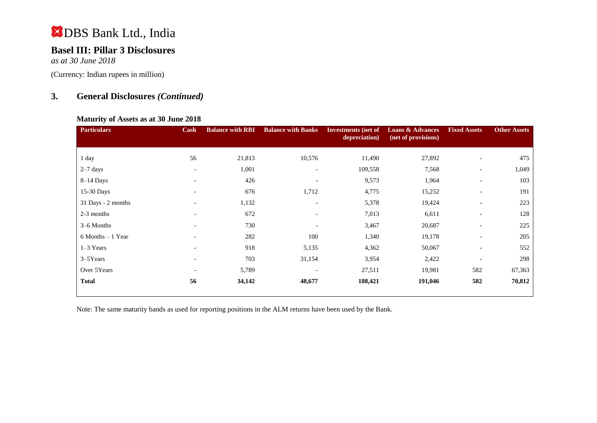## **Basel III: Pillar 3 Disclosures**

*as at 30 June 2018*

(Currency: Indian rupees in million)

## **3. General Disclosures** *(Continued)*

#### **Maturity of Assets as at 30 June 2018**

| <b>Particulars</b>   | Cash                     | <b>Balance with RBI</b> | <b>Balance with Banks</b> | <b>Investments</b> (net of<br>depreciation) | <b>Loans &amp; Advances</b><br>(net of provisions) | <b>Fixed Assets</b>      | <b>Other Assets</b> |
|----------------------|--------------------------|-------------------------|---------------------------|---------------------------------------------|----------------------------------------------------|--------------------------|---------------------|
| 1 day                | 56                       | 21,813                  | 10,576                    | 11,490                                      | 27,892                                             | $\overline{a}$           | 475                 |
| $2-7$ days           | $\overline{\phantom{a}}$ | 1,001                   | $\overline{\phantom{a}}$  | 109,558                                     | 7,568                                              | $\overline{\phantom{a}}$ | 1,049               |
| $8-14$ Days          | $\overline{\phantom{a}}$ | 426                     | $\overline{\phantom{a}}$  | 9,573                                       | 1,964                                              | $\overline{\phantom{a}}$ | 103                 |
| 15-30 Days           | $\overline{\phantom{0}}$ | 676                     | 1,712                     | 4,775                                       | 15,252                                             | $\overline{\phantom{a}}$ | 191                 |
| 31 Days - 2 months   | $\overline{\phantom{a}}$ | 1,132                   | $\overline{\phantom{a}}$  | 5,378                                       | 19,424                                             | $\overline{\phantom{a}}$ | 223                 |
| 2-3 months           | $\overline{\phantom{0}}$ | 672                     | $\overline{\phantom{a}}$  | 7,013                                       | 6,611                                              | $\overline{\phantom{a}}$ | 128                 |
| 3–6 Months           | $\overline{\phantom{a}}$ | 730                     | $\overline{\phantom{a}}$  | 3,467                                       | 20,687                                             | $\overline{\phantom{a}}$ | 225                 |
| $6$ Months $-1$ Year | $\overline{\phantom{0}}$ | 282                     | 100                       | 1,340                                       | 19,178                                             | $\overline{\phantom{a}}$ | 205                 |
| 1-3 Years            | $\overline{\phantom{a}}$ | 918                     | 5,135                     | 4,362                                       | 50,067                                             | $\overline{\phantom{a}}$ | 552                 |
| 3–5Years             | $\overline{\phantom{a}}$ | 703                     | 31,154                    | 3,954                                       | 2,422                                              | $\overline{\phantom{a}}$ | 298                 |
| Over 5Years          | $\overline{\phantom{a}}$ | 5,789                   |                           | 27,511                                      | 19,981                                             | 582                      | 67,363              |
| <b>Total</b>         | 56                       | 34,142                  | 48,677                    | 188,421                                     | 191,046                                            | 582                      | 70,812              |

Note: The same maturity bands as used for reporting positions in the ALM returns have been used by the Bank.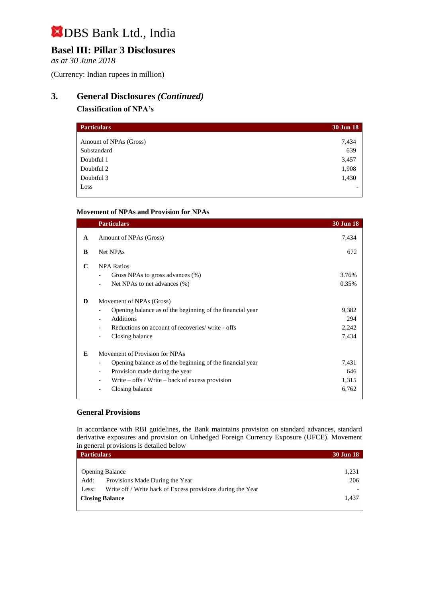## **Basel III: Pillar 3 Disclosures**

*as at 30 June 2018*

(Currency: Indian rupees in million)

## **3. General Disclosures** *(Continued)*

## **Classification of NPA's**

| <b>Particulars</b>     | 30 Jun 18 |
|------------------------|-----------|
| Amount of NPAs (Gross) | 7,434     |
|                        |           |
| Substandard            | 639       |
| Doubtful 1             | 3,457     |
| Doubtful 2             | 1,908     |
| Doubtful 3             | 1,430     |
| Loss                   | -         |

#### **Movement of NPAs and Provision for NPAs**

|              | <b>Particulars</b>                                                                    | <b>30 Jun 18</b> |
|--------------|---------------------------------------------------------------------------------------|------------------|
| $\mathbf{A}$ | Amount of NPAs (Gross)                                                                | 7,434            |
| B            | Net NPAs                                                                              | 672              |
| C            | <b>NPA Ratios</b><br>Gross NPAs to gross advances (%)                                 | 3.76%            |
|              | Net NPAs to net advances (%)                                                          | 0.35%            |
| D            | Movement of NPAs (Gross)                                                              |                  |
|              | Opening balance as of the beginning of the financial year                             | 9,382            |
|              | Additions<br>$\overline{\phantom{a}}$                                                 | 294              |
|              | Reductions on account of recoveries/write - offs                                      | 2,242            |
|              | Closing balance<br>$\overline{\phantom{a}}$                                           | 7,434            |
| E            | Movement of Provision for NPAs                                                        |                  |
|              | Opening balance as of the beginning of the financial year<br>$\overline{\phantom{a}}$ | 7,431            |
|              | Provision made during the year<br>$\overline{\phantom{a}}$                            | 646              |
|              | Write $-$ offs / Write $-$ back of excess provision                                   | 1,315            |
|              | Closing balance                                                                       | 6,762            |

#### **General Provisions**

In accordance with RBI guidelines, the Bank maintains provision on standard advances, standard derivative exposures and provision on Unhedged Foreign Currency Exposure (UFCE). Movement in general provisions is detailed below

| <b>Particulars</b>     |                                                             | <b>30 Jun 18</b> |
|------------------------|-------------------------------------------------------------|------------------|
|                        |                                                             |                  |
| <b>Opening Balance</b> |                                                             | 1,231            |
| Add:                   | Provisions Made During the Year                             | 206              |
| Less:                  | Write off / Write back of Excess provisions during the Year | -                |
| <b>Closing Balance</b> |                                                             | 1.437            |
|                        |                                                             |                  |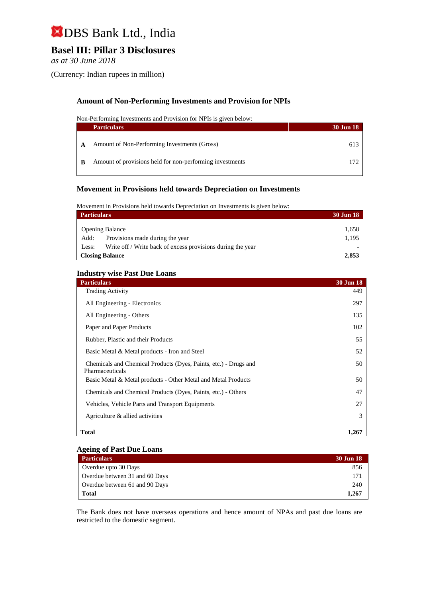## **Basel III: Pillar 3 Disclosures**

*as at 30 June 2018*

(Currency: Indian rupees in million)

### **Amount of Non-Performing Investments and Provision for NPIs**

Non-Performing Investments and Provision for NPIs is given below:

|     | <b>Particulars</b>                                       | 30 Jun 18 |
|-----|----------------------------------------------------------|-----------|
|     | Amount of Non-Performing Investments (Gross)             | 613       |
| - R | Amount of provisions held for non-performing investments | 172.      |

#### **Movement in Provisions held towards Depreciation on Investments**

Movement in Provisions held towards Depreciation on Investments is given below:

| <b>Particulars</b>     |                                                             | <b>30 Jun 18</b> |
|------------------------|-------------------------------------------------------------|------------------|
|                        |                                                             |                  |
| <b>Opening Balance</b> |                                                             | 1,658            |
| Add:                   | Provisions made during the year                             | 1,195            |
| Less:                  | Write off / Write back of excess provisions during the year |                  |
| <b>Closing Balance</b> |                                                             | 2,853            |

#### **Industry wise Past Due Loans**

| <b>Particulars</b>                                                                  | <b>30 Jun 18</b> |
|-------------------------------------------------------------------------------------|------------------|
| <b>Trading Activity</b>                                                             | 449              |
| All Engineering - Electronics                                                       | 297              |
| All Engineering - Others                                                            | 135              |
| Paper and Paper Products                                                            | 102              |
| Rubber, Plastic and their Products                                                  | 55               |
| Basic Metal & Metal products - Iron and Steel                                       | 52               |
| Chemicals and Chemical Products (Dyes, Paints, etc.) - Drugs and<br>Pharmaceuticals | 50               |
| Basic Metal & Metal products - Other Metal and Metal Products                       | 50               |
| Chemicals and Chemical Products (Dyes, Paints, etc.) - Others                       | 47               |
| Vehicles, Vehicle Parts and Transport Equipments                                    | 27               |
| Agriculture & allied activities                                                     | 3                |
| <b>Total</b>                                                                        | 1,267            |

#### **Ageing of Past Due Loans**

| <b>Particulars</b>             | 30 Jun 18 |
|--------------------------------|-----------|
| Overdue upto 30 Days           | 856       |
| Overdue between 31 and 60 Days | 171       |
| Overdue between 61 and 90 Days | 240       |
| <b>Total</b>                   | 1.267     |

The Bank does not have overseas operations and hence amount of NPAs and past due loans are restricted to the domestic segment.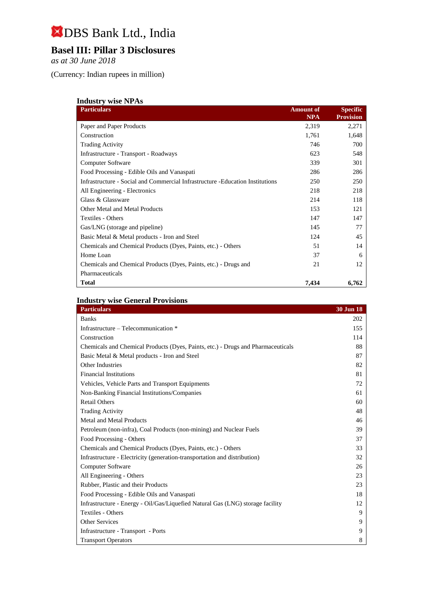## **Basel III: Pillar 3 Disclosures**

*as at 30 June 2018*

(Currency: Indian rupees in million)

| <b>Industry wise NPAs</b> |  |  |
|---------------------------|--|--|
|---------------------------|--|--|

| <b>Particulars</b>                                                             | <b>Amount of</b> | <b>Specific</b>  |
|--------------------------------------------------------------------------------|------------------|------------------|
|                                                                                | <b>NPA</b>       | <b>Provision</b> |
| Paper and Paper Products                                                       | 2,319            | 2,271            |
| Construction                                                                   | 1,761            | 1,648            |
| <b>Trading Activity</b>                                                        | 746              | 700              |
| Infrastructure - Transport - Roadways                                          | 623              | 548              |
| <b>Computer Software</b>                                                       | 339              | 301              |
| Food Processing - Edible Oils and Vanaspati                                    | 286              | 286              |
| Infrastructure - Social and Commercial Infrastructure - Education Institutions | 250              | 250              |
| All Engineering - Electronics                                                  | 218              | 218              |
| Glass & Glassware                                                              | 214              | 118              |
| Other Metal and Metal Products                                                 | 153              | 121              |
| Textiles - Others                                                              | 147              | 147              |
| Gas/LNG (storage and pipeline)                                                 | 145              | 77               |
| Basic Metal & Metal products - Iron and Steel                                  | 124              | 45               |
| Chemicals and Chemical Products (Dyes, Paints, etc.) - Others                  | 51               | 14               |
| Home Loan                                                                      | 37               | 6                |
| Chemicals and Chemical Products (Dyes, Paints, etc.) - Drugs and               | 21               | 12               |
| Pharmaceuticals                                                                |                  |                  |
| <b>Total</b>                                                                   | 7,434            | 6,762            |

## **Industry wise General Provisions**

| <b>Particulars</b>                                                               | 30 Jun 18 |
|----------------------------------------------------------------------------------|-----------|
| <b>Banks</b>                                                                     | 202       |
| Infrastructure – Telecommunication *                                             | 155       |
| Construction                                                                     | 114       |
| Chemicals and Chemical Products (Dyes, Paints, etc.) - Drugs and Pharmaceuticals | 88        |
| Basic Metal & Metal products - Iron and Steel                                    | 87        |
| Other Industries                                                                 | 82        |
| <b>Financial Institutions</b>                                                    | 81        |
| Vehicles, Vehicle Parts and Transport Equipments                                 | 72        |
| Non-Banking Financial Institutions/Companies                                     | 61        |
| <b>Retail Others</b>                                                             | 60        |
| <b>Trading Activity</b>                                                          | 48        |
| <b>Metal and Metal Products</b>                                                  | 46        |
| Petroleum (non-infra), Coal Products (non-mining) and Nuclear Fuels              | 39        |
| Food Processing - Others                                                         | 37        |
| Chemicals and Chemical Products (Dyes, Paints, etc.) - Others                    | 33        |
| Infrastructure - Electricity (generation-transportation and distribution)        | 32        |
| <b>Computer Software</b>                                                         | 26        |
| All Engineering - Others                                                         | 23        |
| Rubber, Plastic and their Products                                               | 23        |
| Food Processing - Edible Oils and Vanaspati                                      | 18        |
| Infrastructure - Energy - Oil/Gas/Liquefied Natural Gas (LNG) storage facility   | 12        |
| Textiles - Others                                                                | 9         |
| Other Services                                                                   | 9         |
| Infrastructure - Transport - Ports                                               | 9         |
| <b>Transport Operators</b>                                                       | 8         |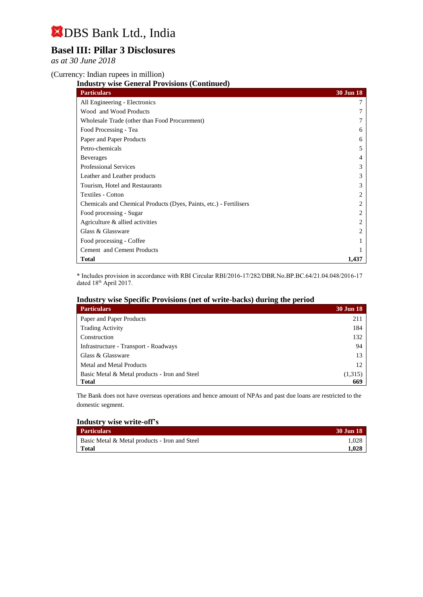## **Basel III: Pillar 3 Disclosures**

*as at 30 June 2018*

(Currency: Indian rupees in million)

## **Industry wise General Provisions (Continued)**

| <b>Particulars</b>                                                 | <b>30 Jun 18</b> |
|--------------------------------------------------------------------|------------------|
| All Engineering - Electronics                                      |                  |
| Wood and Wood Products                                             |                  |
| Wholesale Trade (other than Food Procurement)                      |                  |
| Food Processing - Tea                                              | 6                |
| Paper and Paper Products                                           | 6                |
| Petro-chemicals                                                    |                  |
| <b>Beverages</b>                                                   | 4                |
| <b>Professional Services</b>                                       | 3                |
| Leather and Leather products                                       | 3                |
| Tourism, Hotel and Restaurants                                     | 3                |
| Textiles - Cotton                                                  |                  |
| Chemicals and Chemical Products (Dyes, Paints, etc.) - Fertilisers |                  |
| Food processing - Sugar                                            | 2                |
| Agriculture & allied activities                                    | 2                |
| Glass & Glassware                                                  | 2                |
| Food processing - Coffee                                           |                  |
| <b>Cement</b> and Cement Products                                  |                  |
| Total                                                              | 1,437            |

\* Includes provision in accordance with RBI Circular RBI/2016-17/282/DBR.No.BP.BC.64/21.04.048/2016-17 dated 18<sup>th</sup> April 2017.

#### **Industry wise Specific Provisions (net of write-backs) during the period**

| <b>Particulars</b>                            | 30 Jun 18 |
|-----------------------------------------------|-----------|
| Paper and Paper Products                      | 211       |
| <b>Trading Activity</b>                       | 184       |
| Construction                                  | 132       |
| Infrastructure - Transport - Roadways         | 94        |
| Glass & Glassware                             | 13        |
| Metal and Metal Products                      | 12        |
| Basic Metal & Metal products - Iron and Steel | (1,315)   |
| Total                                         | 669       |

The Bank does not have overseas operations and hence amount of NPAs and past due loans are restricted to the domestic segment.

#### **Industry wise write-off's**

| <b>Particulars</b>                            | 30 Jun 18 |
|-----------------------------------------------|-----------|
| Basic Metal & Metal products - Iron and Steel | 1.028     |
| Total                                         | 1.028     |